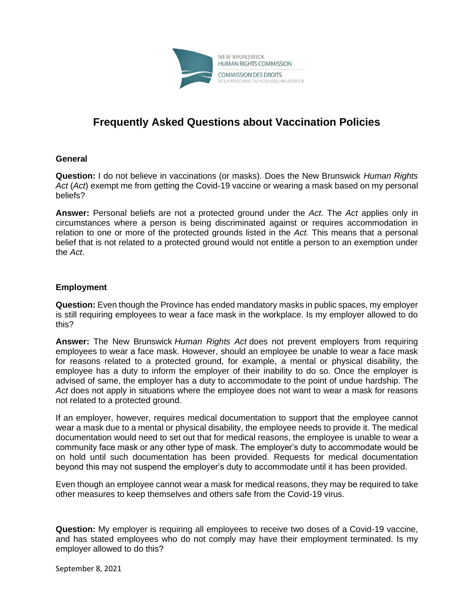

## **Frequently Asked Questions about Vaccination Policies**

## **General**

**Question:** I do not believe in vaccinations (or masks). Does the New Brunswick *Human Rights Act* (*Act*) exempt me from getting the Covid-19 vaccine or wearing a mask based on my personal beliefs?

**Answer:** Personal beliefs are not a protected ground under the *Act*. The *Act* applies only in circumstances where a person is being discriminated against or requires accommodation in relation to one or more of the protected grounds listed in the *Act.* This means that a personal belief that is not related to a protected ground would not entitle a person to an exemption under the *Act*.

## **Employment**

**Question:** Even though the Province has ended mandatory masks in public spaces, my employer is still requiring employees to wear a face mask in the workplace. Is my employer allowed to do this?

**Answer:** The New Brunswick *Human Rights Act* does not prevent employers from requiring employees to wear a face mask. However, should an employee be unable to wear a face mask for reasons related to a protected ground, for example, a mental or physical disability, the employee has a duty to inform the employer of their inability to do so. Once the employer is advised of same, the employer has a duty to accommodate to the point of undue hardship. The *Act* does not apply in situations where the employee does not want to wear a mask for reasons not related to a protected ground.

If an employer, however, requires medical documentation to support that the employee cannot wear a mask due to a mental or physical disability, the employee needs to provide it. The medical documentation would need to set out that for medical reasons, the employee is unable to wear a community face mask or any other type of mask. The employer's duty to accommodate would be on hold until such documentation has been provided. Requests for medical documentation beyond this may not suspend the employer's duty to accommodate until it has been provided.

Even though an employee cannot wear a mask for medical reasons, they may be required to take other measures to keep themselves and others safe from the Covid-19 virus.

**Question:** My employer is requiring all employees to receive two doses of a Covid-19 vaccine, and has stated employees who do not comply may have their employment terminated. Is my employer allowed to do this?

September 8, 2021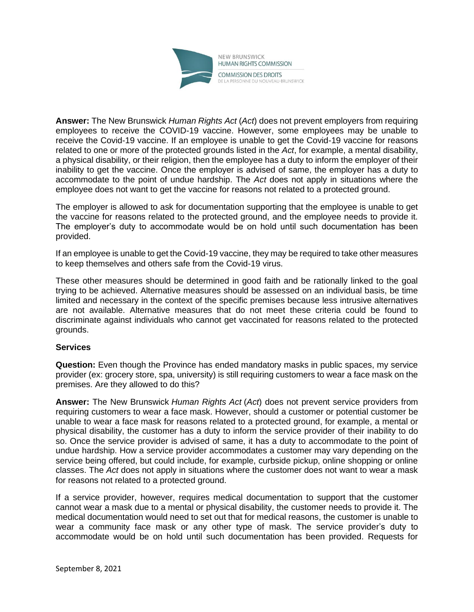

**Answer:** The New Brunswick *Human Rights Act* (*Act*) does not prevent employers from requiring employees to receive the COVID-19 vaccine. However, some employees may be unable to receive the Covid-19 vaccine. If an employee is unable to get the Covid-19 vaccine for reasons related to one or more of the protected grounds listed in the *Act*, for example, a mental disability, a physical disability, or their religion, then the employee has a duty to inform the employer of their inability to get the vaccine. Once the employer is advised of same, the employer has a duty to accommodate to the point of undue hardship. The *Act* does not apply in situations where the employee does not want to get the vaccine for reasons not related to a protected ground.

The employer is allowed to ask for documentation supporting that the employee is unable to get the vaccine for reasons related to the protected ground, and the employee needs to provide it. The employer's duty to accommodate would be on hold until such documentation has been provided.

If an employee is unable to get the Covid-19 vaccine, they may be required to take other measures to keep themselves and others safe from the Covid-19 virus.

These other measures should be determined in good faith and be rationally linked to the goal trying to be achieved. Alternative measures should be assessed on an individual basis, be time limited and necessary in the context of the specific premises because less intrusive alternatives are not available. Alternative measures that do not meet these criteria could be found to discriminate against individuals who cannot get vaccinated for reasons related to the protected grounds.

## **Services**

**Question:** Even though the Province has ended mandatory masks in public spaces, my service provider (ex: grocery store, spa, university) is still requiring customers to wear a face mask on the premises. Are they allowed to do this?

**Answer:** The New Brunswick *Human Rights Act* (*Act*) does not prevent service providers from requiring customers to wear a face mask. However, should a customer or potential customer be unable to wear a face mask for reasons related to a protected ground, for example, a mental or physical disability, the customer has a duty to inform the service provider of their inability to do so. Once the service provider is advised of same, it has a duty to accommodate to the point of undue hardship. How a service provider accommodates a customer may vary depending on the service being offered, but could include, for example, curbside pickup, online shopping or online classes. The *Act* does not apply in situations where the customer does not want to wear a mask for reasons not related to a protected ground.

If a service provider, however, requires medical documentation to support that the customer cannot wear a mask due to a mental or physical disability, the customer needs to provide it. The medical documentation would need to set out that for medical reasons, the customer is unable to wear a community face mask or any other type of mask. The service provider's duty to accommodate would be on hold until such documentation has been provided. Requests for